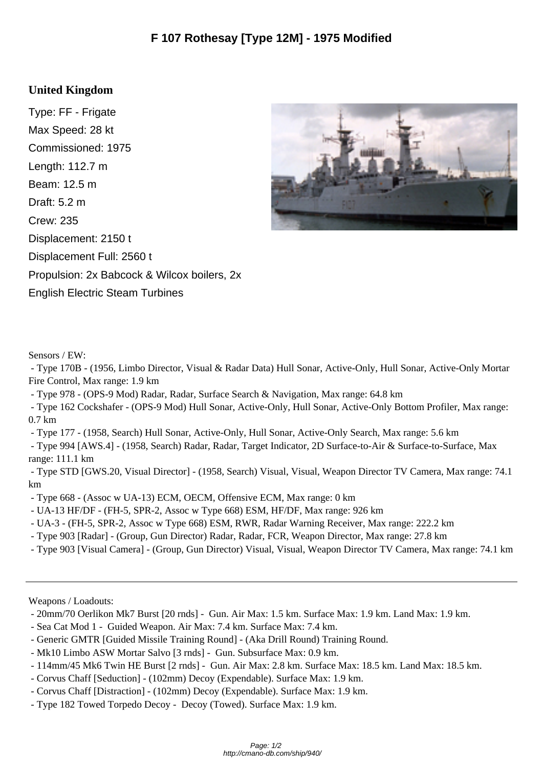## **United Kingdom**

Type: FF - Frigate Max Speed: 28 kt Commissioned: 1975 Length: 112.7 m Beam: 12.5 m Draft: 5.2 m Crew: 235 Displacement: 2150 t Displacement Full: 2560 t Propulsion: 2x Babcock & Wilcox boilers, 2x English Electric Steam Turbines



Sensors / EW:

 - Type 170B - (1956, Limbo Director, Visual & Radar Data) Hull Sonar, Active-Only, Hull Sonar, Active-Only Mortar Fire Control, Max range: 1.9 km

- Type 978 - (OPS-9 Mod) Radar, Radar, Surface Search & Navigation, Max range: 64.8 km

 - Type 162 Cockshafer - (OPS-9 Mod) Hull Sonar, Active-Only, Hull Sonar, Active-Only Bottom Profiler, Max range: 0.7 km

- Type 177 - (1958, Search) Hull Sonar, Active-Only, Hull Sonar, Active-Only Search, Max range: 5.6 km

 - Type 994 [AWS.4] - (1958, Search) Radar, Radar, Target Indicator, 2D Surface-to-Air & Surface-to-Surface, Max range: 111.1 km

 - Type STD [GWS.20, Visual Director] - (1958, Search) Visual, Visual, Weapon Director TV Camera, Max range: 74.1 km

- Type 668 - (Assoc w UA-13) ECM, OECM, Offensive ECM, Max range: 0 km

- UA-13 HF/DF - (FH-5, SPR-2, Assoc w Type 668) ESM, HF/DF, Max range: 926 km

- UA-3 - (FH-5, SPR-2, Assoc w Type 668) ESM, RWR, Radar Warning Receiver, Max range: 222.2 km

- Type 903 [Radar] (Group, Gun Director) Radar, Radar, FCR, Weapon Director, Max range: 27.8 km
- Type 903 [Visual Camera] (Group, Gun Director) Visual, Visual, Weapon Director TV Camera, Max range: 74.1 km

Weapons / Loadouts:

- 20mm/70 Oerlikon Mk7 Burst [20 rnds] Gun. Air Max: 1.5 km. Surface Max: 1.9 km. Land Max: 1.9 km.
- Sea Cat Mod 1 Guided Weapon. Air Max: 7.4 km. Surface Max: 7.4 km.
- Generic GMTR [Guided Missile Training Round] (Aka Drill Round) Training Round.
- Mk10 Limbo ASW Mortar Salvo [3 rnds] Gun. Subsurface Max: 0.9 km.
- 114mm/45 Mk6 Twin HE Burst [2 rnds] Gun. Air Max: 2.8 km. Surface Max: 18.5 km. Land Max: 18.5 km.
- Corvus Chaff [Seduction] (102mm) Decoy (Expendable). Surface Max: 1.9 km.
- Corvus Chaff [Distraction] (102mm) Decoy (Expendable). Surface Max: 1.9 km.
- Type 182 Towed Torpedo Decoy Decoy (Towed). Surface Max: 1.9 km.